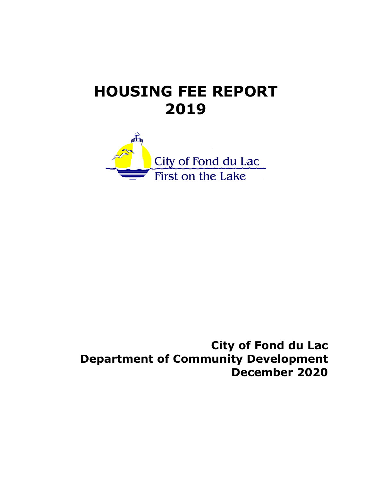# **HOUSING FEE REPORT 2019**



**City of Fond du Lac Department of Community Development December 2020**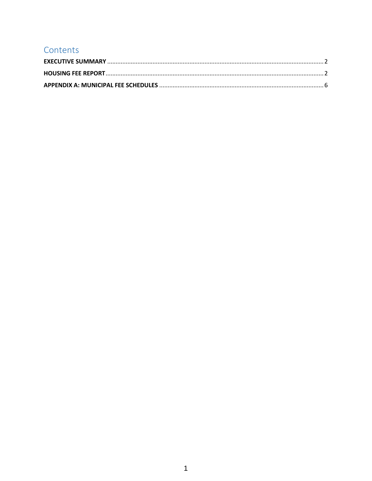# Contents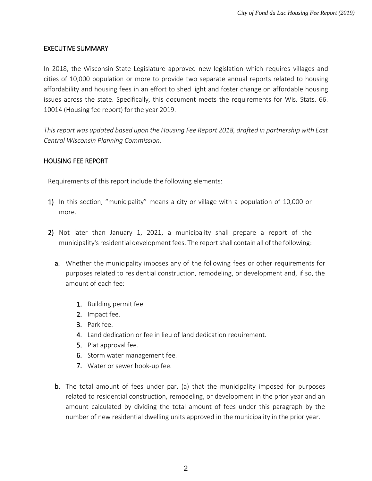#### <span id="page-2-0"></span>EXECUTIVE SUMMARY

In 2018, the Wisconsin State Legislature approved new legislation which requires villages and cities of 10,000 population or more to provide two separate annual reports related to housing affordability and housing fees in an effort to shed light and foster change on affordable housing issues across the state. Specifically, this document meets the requirements for Wis. Stats. 66. 10014 (Housing fee report) for the year 2019.

*This report was updated based upon the Housing Fee Report 2018, drafted in partnership with East Central Wisconsin Planning Commission.* 

#### <span id="page-2-1"></span>HOUSING FEE REPORT

Requirements of this report include the following elements:

- 1) In this section, "municipality" means a city or village with a population of 10,000 or more.
- 2) Not later than January 1, 2021, a municipality shall prepare a report of the municipality's residential development fees. The report shall contain all of the following:
	- a. Whether the municipality imposes any of the following fees or other requirements for purposes related to residential construction, remodeling, or development and, if so, the amount of each fee:
		- 1. Building permit fee.
		- 2. Impact fee.
		- 3. Park fee.
		- 4. Land dedication or fee in lieu of land dedication requirement.
		- 5. Plat approval fee.
		- 6. Storm water management fee.
		- 7. Water or sewer hook-up fee.
	- **b.** The total amount of fees under par. (a) that the municipality imposed for purposes related to residential construction, remodeling, or development in the prior year and an amount calculated by dividing the total amount of fees under this paragraph by the number of new residential dwelling units approved in the municipality in the prior year.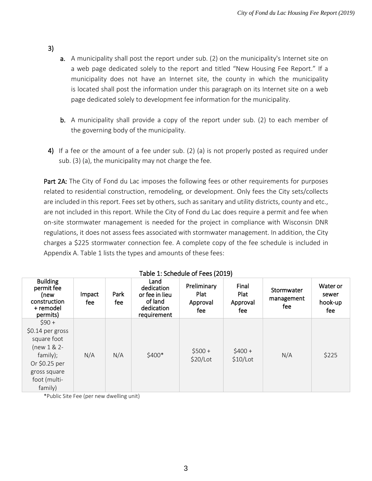#### 3)

- a. A municipality shall post the report under sub. (2) on the municipality's Internet site on a web page dedicated solely to the report and titled "New Housing Fee Report." If a municipality does not have an Internet site, the county in which the municipality is located shall post the information under this paragraph on its Internet site on a web page dedicated solely to development fee information for the municipality.
- b. A municipality shall provide a copy of the report under sub. (2) to each member of the governing body of the municipality.
- 4) If a fee or the amount of a fee under sub. (2) (a) is not properly posted as required under sub. (3) (a), the municipality may not charge the fee.

Part 2A: The City of Fond du Lac imposes the following fees or other requirements for purposes related to residential construction, remodeling, or development. Only fees the City sets/collects are included in this report. Fees set by others, such as sanitary and utility districts, county and etc., are not included in this report. While the City of Fond du Lac does require a permit and fee when on-site stormwater management is needed for the project in compliance with Wisconsin DNR regulations, it does not assess fees associated with stormwater management. In addition, the City charges a \$225 stormwater connection fee. A complete copy of the fee schedule is included in Appendix A. Table 1 lists the types and amounts of these fees:

|                                                                                                                                     |                 |              |                                                                              | $1901C + 3011C991C + 1000C1C$          |                                  |                                 |                                     |
|-------------------------------------------------------------------------------------------------------------------------------------|-----------------|--------------|------------------------------------------------------------------------------|----------------------------------------|----------------------------------|---------------------------------|-------------------------------------|
| <b>Building</b><br>permit fee<br>(new<br>construction<br>+ remodel<br>permits)                                                      | Impact<br>fee : | Park<br>fee. | Land<br>dedication<br>or fee in lieu<br>of land<br>dedication<br>requirement | Preliminary<br>Plat<br>Approval<br>fee | Final<br>Plat<br>Approval<br>fee | Stormwater<br>management<br>fee | Water or<br>sewer<br>hook-up<br>fee |
| $$90+$<br>\$0.14 per gross<br>square foot<br>$(new 1 & 2 -$<br>family);<br>Or \$0.25 per<br>gross square<br>foot (multi-<br>family) | N/A             | N/A          | \$400*                                                                       | $$500+$<br>\$20/Lot                    | $$400+$<br>$$10/$ Lot            | N/A                             | \$225                               |

#### Table 1: Schedule of Fees (2019)

\*Public Site Fee (per new dwelling unit)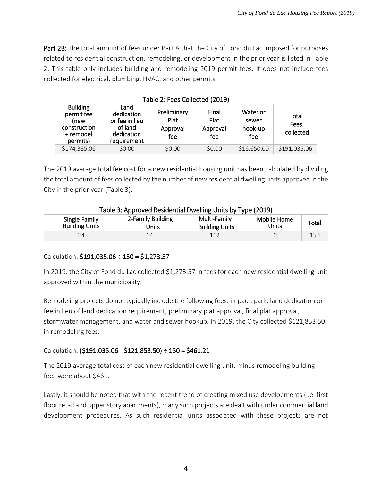Part 2B: The total amount of fees under Part A that the City of Fond du Lac imposed for purposes related to residential construction, remodeling, or development in the prior year is listed in Table 2. This table only includes building and remodeling 2019 permit fees. It does not include fees collected for electrical, plumbing, HVAC, and other permits.

| Table 2: Fees Collected (2019)                                                 |                                                                              |                                        |                                  |                                     |                            |
|--------------------------------------------------------------------------------|------------------------------------------------------------------------------|----------------------------------------|----------------------------------|-------------------------------------|----------------------------|
| <b>Building</b><br>permit fee<br>(new<br>construction<br>+ remodel<br>permits) | Land<br>dedication<br>or fee in lieu<br>of land<br>dedication<br>requirement | Preliminary<br>Plat<br>Approval<br>fee | Final<br>Plat<br>Approval<br>fee | Water or<br>sewer<br>hook-up<br>fee | Total<br>Fees<br>collected |
| \$174,385.06                                                                   | \$0.00                                                                       | \$0.00                                 | \$0.00                           | \$16,650.00                         | \$191,035.06               |

The 2019 average total fee cost for a new residential housing unit has been calculated by dividing the total amount of fees collected by the number of new residential dwelling units approved in the City in the prior year (Table 3).

| Single Family         | 2-Family Building | Multi-Family          | Mobile Home | Total |
|-----------------------|-------------------|-----------------------|-------------|-------|
| <b>Building Units</b> | Jnits             | <b>Building Units</b> | Jnits       |       |
|                       |                   |                       |             | 150   |

## Calculation:  $$191,035.06 \div 150 = $1,273.57$

In 2019, the City of Fond du Lac collected \$1,273.57 in fees for each new residential dwelling unit approved within the municipality.

Remodeling projects do not typically include the following fees: impact, park, land dedication or fee in lieu of land dedication requirement, preliminary plat approval, final plat approval, stormwater management, and water and sewer hookup. In 2019, the City collected \$121,853.50 in remodeling fees.

## Calculation: (\$191,035.06 - \$121,853.50) ÷ 150 = \$461.21

The 2019 average total cost of each new residential dwelling unit, minus remodeling building fees were about \$461.

Lastly, it should be noted that with the recent trend of creating mixed use developments (i.e. first floor retail and upper story apartments), many such projects are dealt with under commercial land development procedures. As such residential units associated with these projects are not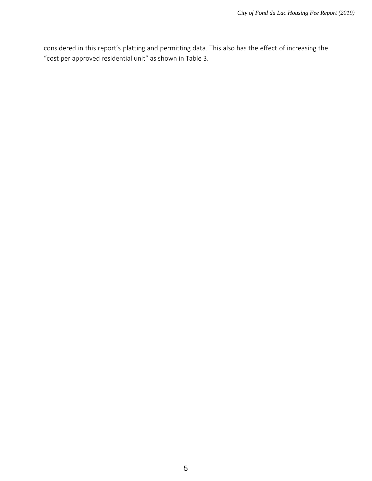considered in this report's platting and permitting data. This also has the effect of increasing the "cost per approved residential unit" as shown in Table 3.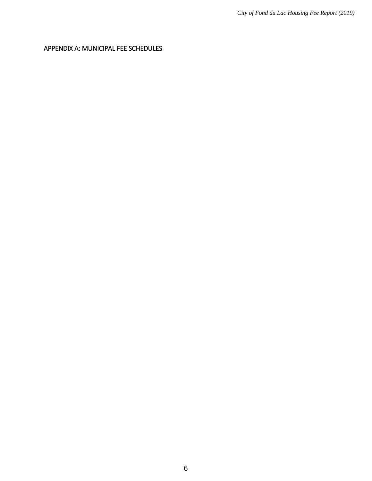<span id="page-6-0"></span>APPENDIX A: MUNICIPAL FEE SCHEDULES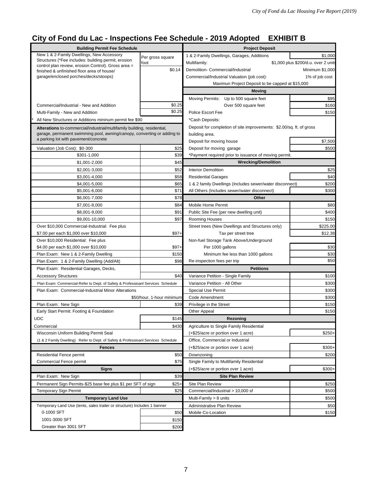# **City of Fond du Lac - Inspections Fee Schedule - 2019 Adopted EXHIBIT B**

| <b>Building Permit Fee Schedule</b>                                                                        |                           | <b>Project Deposit</b>                                               |                                      |  |
|------------------------------------------------------------------------------------------------------------|---------------------------|----------------------------------------------------------------------|--------------------------------------|--|
| New 1 & 2-Family Dwellings, New Accessory                                                                  | Per gross square          | 1 & 2-Family Dwellings, Garages, Additions                           | \$1,000                              |  |
| Structures (*Fee includes: building permit, erosion<br>control plan review, erosion Control). Gross area = | foot                      | Multifamily:                                                         | \$1,000 plus \$200/d.u. over 2 units |  |
| finished & unfinished floor area of house/                                                                 | \$0.14                    | Demolition- Commercial/Industrial                                    | Minimum \$1,000                      |  |
| garage/enclosed porches/decks/stoops)                                                                      |                           | Commercial/Industrial Valuation (job cost):                          | 1% of job cost                       |  |
|                                                                                                            |                           | Maximun Project Deposit to be capped at \$15,000                     |                                      |  |
|                                                                                                            |                           | Moving                                                               |                                      |  |
|                                                                                                            |                           | Moving Permits: Up to 500 square feet                                | \$95                                 |  |
| Commercial/Industrial - New and Addition                                                                   | \$0.25                    | Over 500 square feet                                                 | \$160                                |  |
| Multi-Family - New and Addition                                                                            | \$0.25                    | Police Escort Fee                                                    | \$150                                |  |
| All New Structures or Additions mininum permit fee \$90                                                    |                           | *Cash Deposits:                                                      |                                      |  |
| Alterations to-commercial/industrial/multifamily building, residential,                                    |                           | Deposit for completion of site improvements: \$2.00/sq. ft. of gross |                                      |  |
| garage, permanent swimming pool, awning/canopy, converting or adding to                                    |                           | building area.                                                       |                                      |  |
| a parking lot with pavement/concrete                                                                       |                           | Deposit for moving house                                             | \$7,500                              |  |
| Valuation (Job Cost): \$0-300                                                                              | \$25                      | Deposit for moving garage                                            | \$500                                |  |
| \$301-1,000                                                                                                | \$39                      | *Payment required prior to issuance of moving permit.                |                                      |  |
| \$1,001-2,000                                                                                              | \$45                      | <b>Wrecking/Demolition</b>                                           |                                      |  |
| \$2,001-3,000                                                                                              | \$52                      | <b>Interior Demolition</b>                                           | \$25                                 |  |
| \$3,001-4,000                                                                                              | \$58                      | <b>Residential Garages</b>                                           | \$40                                 |  |
| \$4,001-5,000                                                                                              | \$65                      | 1 & 2 family Dwellings (Includes sewer/water disconnect)             | \$200                                |  |
| \$5,001-6,000                                                                                              | \$71                      | All Others (Includes sewer/water disconnect)                         | \$300                                |  |
| \$6,001-7,000                                                                                              | \$78                      | Other                                                                |                                      |  |
| \$7,001-8,000                                                                                              | \$84                      | Mobile Home Permit                                                   | \$80                                 |  |
| \$8,001-9,000                                                                                              | \$91                      | Public Site Fee (per new dwelling unit)                              | \$400                                |  |
| \$9,001-10,000                                                                                             | \$97                      | <b>Rooming Houses</b>                                                | \$150                                |  |
| Over \$10,000 Commercial-Industrial: Fee plus                                                              |                           | Street trees (New Dwellings and Structures only)                     | \$225.00                             |  |
| \$7.00 per each \$1,000 over \$10,000                                                                      | $$97+$                    | Tax per street tree                                                  | \$12.38                              |  |
| Over \$10,000 Residential: Fee plus<br>\$4.00 per each \$1,000 over \$10,000                               | $$97+$                    | Non-fuel Storage Tank Above/Underground<br>Per 1000 gallons          | \$30                                 |  |
| Plan Exam: New 1 & 2-Family Dwelling                                                                       | \$150                     | Minimum fee less than 1000 gallons                                   | \$30                                 |  |
| Plan Exam: 1 & 2-Family Dwelling (Add/Alt)                                                                 | \$98                      | Re-inspection fees per trip                                          | \$50                                 |  |
| Plan Exam: Residential Garages, Decks,                                                                     |                           | <b>Petitions</b>                                                     |                                      |  |
| <b>Accessory Structures</b>                                                                                | \$40                      | Variance Petition - Single Family                                    | \$100                                |  |
| Plan Exam: Commercial-Refer to Dept. of Safety & Professioanl Services Schedule                            |                           | Variance Petition - All Other                                        | \$300                                |  |
| Plan Exam: Commercial-Industrial Minor Alterations                                                         |                           | <b>Special Use Permit</b><br>\$300                                   |                                      |  |
|                                                                                                            | \$50/hour, 1-hour minimum | Code Amendment                                                       | \$300                                |  |
| Plan Exam: New Sign                                                                                        | \$39                      | Privilege in the Street                                              | \$150                                |  |
| Early Start Permit: Footing & Foundation                                                                   |                           | <b>Other Appeal</b>                                                  | \$150                                |  |
| <b>UDC</b>                                                                                                 | \$145                     | Rezoning                                                             |                                      |  |
| Commercial                                                                                                 | \$430                     | Agriculture to Single Family Residential                             |                                      |  |
| Wisconsin Uniform Building Permit Seal                                                                     |                           | (+\$25/acre or portion over 1 acre)                                  | $$250+$                              |  |
| (1 & 2 Family Dwelling) Refer to Dept. of Safety & Professioanl Services Schedule                          |                           | Office, Commercial or Industrial                                     |                                      |  |
| Fences                                                                                                     |                           | (+\$25/acre or portion over 1 acre)                                  | $$300+$                              |  |
| <b>Residential Fence permit</b>                                                                            | \$50                      | Downzoning                                                           | \$200                                |  |
| <b>Commercial Fence permit</b>                                                                             | \$75                      | Single Family to Multifamily Residential                             |                                      |  |
| <b>Signs</b>                                                                                               |                           | (+\$25/acre or portion over 1 acre)                                  | $$300+$                              |  |
| Plan Exam: New Sign                                                                                        | \$39                      | <b>Site Plan Review</b>                                              |                                      |  |
| Permanent Sign Permits-\$25 base fee plus \$1 per SFT of sign                                              | $$25+$                    | Site Plan Review                                                     | \$250                                |  |
| <b>Temporary Sign Permit</b>                                                                               | \$25                      | Commercial/Industrial > 10,000 sf                                    | \$500                                |  |
| <b>Temporary Land Use</b>                                                                                  |                           | Multi-Family > 8 units                                               | \$500                                |  |
| Temporary Land Use (tents, sales trailer or structure) Includes 1 banner                                   |                           | Administrative Plan Review                                           | \$50                                 |  |
| 0-1000 SFT                                                                                                 | \$50                      | Mobile Co-Location                                                   | \$150                                |  |
| 1001-3000 SFT                                                                                              | \$150                     |                                                                      |                                      |  |
| Greater than 3001 SFT                                                                                      | \$200                     |                                                                      |                                      |  |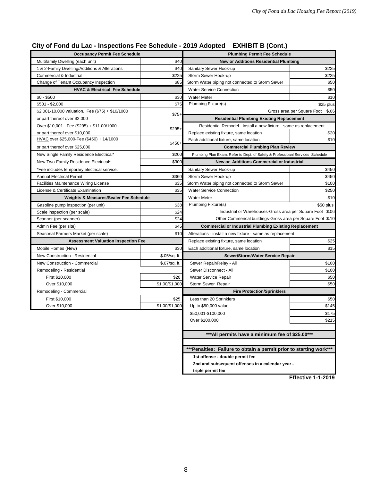# **City of Fond du Lac - Inspections Fee Schedule - 2019 Adopted EXHIBIT B (Cont.)**

| <b>Occupancy Permit Fee Schedule</b>             |                | <b>Plumbing Permit Fee Schedule</b>                                           |                                  |  |
|--------------------------------------------------|----------------|-------------------------------------------------------------------------------|----------------------------------|--|
| Multifamily Dwelling (each unit)                 | \$40           | <b>New or Additions Residential Plumbing</b>                                  |                                  |  |
| 1 & 2-Family Dwelling/Additions & Alterations    | \$40           | Sanitary Sewer Hook-up                                                        | \$225                            |  |
| Commercial & Industrial                          | \$225          | Storm Sewer Hook-up                                                           | \$225                            |  |
| Change of Tenant Occupancy Inspection            | \$85           | Storm Water piping not connected to Storm Sewer                               | \$50                             |  |
| <b>HVAC &amp; Electrical Fee Schedule</b>        |                | <b>Water Service Connection</b>                                               | \$50                             |  |
| $$0 - $500$                                      | \$30           | <b>Water Meter</b>                                                            | \$10                             |  |
| $$501 - $2,000$                                  | \$75           | <b>Plumbing Fixture(s)</b>                                                    | \$25 plus                        |  |
| \$2,001-10,000 valuation. Fee (\$75) + \$10/1000 | $$75+$         |                                                                               | Gross area per Square Foot \$.06 |  |
| or part thereof over \$2,000                     |                | <b>Residential Plumbing Existing Replacement</b>                              |                                  |  |
| Over \$10,001- Fee (\$295) + \$11.00/1000        | \$295+         | Residential Remodel - Install a new fixture - same as replacement             |                                  |  |
| or part thereof over \$10,000                    |                | Replace existing fixture, same location                                       | \$20                             |  |
| HVAC over \$25,000-Fee (\$450) + 14/1000         | \$450+         | Each additional fixture, same location                                        | \$10                             |  |
| or part thereof over \$25,000                    |                | <b>Commercial Plumbing Plan Review</b>                                        |                                  |  |
| New Single Family Residence Electrical*          | \$200          | Plumbing Plan Exam: Refer to Dept. of Safety & Professioanl Services Schedule |                                  |  |
| New Two-Family Residence Electrical*             | \$300          | New or Additions Commercial or Industrial                                     |                                  |  |
| *Fee includes temporary electrical service.      |                | Sanitary Sewer Hook-up                                                        | \$450                            |  |
| <b>Annual Electrical Permit</b>                  | \$360          | Storm Sewer Hook-up                                                           | \$450                            |  |
| <b>Facilities Maintenance Wiring License</b>     | \$35           | Storm Water piping not connected to Storm Sewer                               | \$100                            |  |
| License & Certificate Examination                | \$35           | <b>Water Service Connection</b>                                               | \$250                            |  |
| Weights & Measures/Sealer Fee Schedule           |                | <b>Water Meter</b>                                                            | \$10                             |  |
| Gasoline pump inspection (per unit)              | \$38           | <b>Plumbing Fixture(s)</b>                                                    | \$50 plus                        |  |
| Scale inspection (per scale)                     | \$24           | Industrial or Warehouses-Gross area per Square Foot \$.06                     |                                  |  |
| Scanner (per scanner)                            | \$24           | Other Commerical buildings-Gross area per Square Foot \$.10                   |                                  |  |
| Admin Fee (per site)                             | \$45           | <b>Commercial or Industrial Plumbing Existing Replacement</b>                 |                                  |  |
| Seasonal Farmers Market (per scale)              | \$10           | Alterations - install a new fixture - same as replacement                     |                                  |  |
| <b>Assessment Valuation Inspection Fee</b>       |                | Replace existing fixture, same location                                       |                                  |  |
| Mobile Homes (New)                               | \$30           | Each additional fixture, same location                                        | \$15                             |  |
| <b>New Construction - Residential</b>            | \$.05/sq. ft.  | Sewer/Storm/Water Service Repair                                              |                                  |  |
| New Construction - Commercial                    | \$.07/sq. ft.  | Sewer Repair/Relay - All                                                      | \$100                            |  |
| Remodeling - Residential                         |                | Sewer Disconnect - All                                                        | \$100                            |  |
| First \$10,000                                   | \$20           | Water Service Repair                                                          | \$50                             |  |
| Over \$10,000                                    | \$1.00/\$1,000 | Storm Sewer Repair                                                            | \$50                             |  |
| Remodeling - Commercial                          |                | <b>Fire Protection/Sprinklers</b>                                             |                                  |  |
| First \$10,000                                   | \$25           | Less than 20 Sprinklers                                                       | \$50                             |  |
| Over \$10,000                                    | \$1.00/\$1,000 | Up to \$50,000 value                                                          | \$145                            |  |
|                                                  |                | \$50,001-\$100,000                                                            | \$175                            |  |
|                                                  |                | Over \$100,000                                                                | \$215                            |  |
|                                                  |                |                                                                               |                                  |  |
|                                                  |                | *** All permits have a minimum fee of \$25.00***                              |                                  |  |
|                                                  |                |                                                                               |                                  |  |
|                                                  |                | *** Penalties: Failure to obtain a permit prior to starting work***           |                                  |  |
|                                                  |                | 1st offense - double permit fee                                               |                                  |  |
|                                                  |                | 2nd and subsequent offenses in a calendar year -                              |                                  |  |
|                                                  |                | triple permit fee                                                             |                                  |  |

**Effective 1-1-2019**